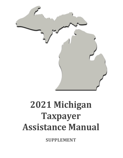

# **2021 Michigan Taxpayer Assistance Manual**

**SUPPLEMENT**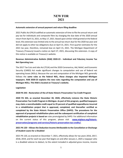#### **Automatic extension of annual payment and return filing deadline**

 return from April 15, 2021, to May 17, 2021. Based upon similar relief granted at the federal level, this extension was limited only to the annual tax return due for the 2020 tax year and did not apply to other tax obligations due on April 15, 2021. First-quarter estimates for the Treasury (Treasury) issued a notice on April 27, 2021, discussing this extension. A copy of 2021 Public Act (PA) 8 codified an automatic extension of time to file the annual return and pay tax for individuals and composite filers by changing the due date of the 2020 annual 2021 tax year, therefore, remained due on April 15, 2021. The Michigan Department of this notice is available on Treasury's website.

#### **Revenue Administrative Bulletin (RAB) 2020-23 - Individual and Fiduciary Income Tax Net Operating Loss**

 **taxpayers. RAB 2020-23 explains the new rules regarding the computation and use of Michigan NOLs. This RAB is located on Treasury's website.**  The 2017 Tax Cuts and Jobs Act (TCJA) and the 2020 Coronavirus, Aid, Relief, and Economic Security (CARES) Act made significant changes to computation and use of federal net operating losses (NOLs). Because the use and computation of the Michigan NOL generally follows the **same rules as the federal NOL, these changes also impacted Michigan** 

#### **Legislation**

#### **2020 PA 343 - Restoration of the of State Historic Preservation Tax Credit Program**

 **2020 PA 343, as enacted December 30, 2020, effectively restores the State Historic may claim a nonrefundable credit equal to 25 percent of qualified expenditures incurred in a rehabilitation project that is approved, completed, and thereafter certified as completed by the State Historic Preservation Office (SHPO). The procedures for the rehabilitation projects is based on** rules promulgated by SHPO. For additional information on the current status of this program, please visit **[www.miplace.org/historic-](http://www.miplace.org/historic-preservation/programs-and-services/historic-preservation-tax-credits/)Preservation Tax Credit Program in Michigan. As part of this program, qualified taxpayers approval of proposed rehabilitation plans and the subsequent certification of completed [preservation/programs-and-services/historic-preservation-tax-credits/](http://www.miplace.org/historic-preservation/programs-and-services/historic-preservation-tax-credits/)**.

#### **2021 PA 120 – Allows the Deduction Income Attributable to the Cancellation or Discharge of Student Loans for a Disabled**

 is a disabled veteran to deduct, to the extent included in adjusted gross income, income 2021 PA 120, as enacted on December 7, 2021, effectively allows for tax years 2016, 2017, 2018, 2019, and for each tax year that begins on and after January 1, 2025 a taxpayer who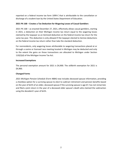discharge of a student loan by the United States Department of Education. reported on a federal income tax form 1099-C that is attributable to the cancellation or

#### **2021 PA 168 – Creates a Tax Deduction for Wagering Losses of Casual Gamblers**

 in 2021, a deduction on their Michigan income tax return equal to the wagering losses same tax year. This deduction is only allowed if the taxpayer elected to itemize deductions 2021 PA 168 – as enacted December 27, 2021, effectively allows casual gamblers, starting claimed by the taxpayer as an itemized deduction on the federal income tax return for the on the federal income tax return rather than take the standard deduction.

 through a casino or licensed race meeting located in Michigan may be deducted and only to the extent the gains on those transactions are allocated to Michigan under Section For nonresidents, only wagering losses attributable to wagering transactions placed at or 110(2)(d) of the Michigan Income Tax Act.

#### **Increased Exemptions**

The personal exemption amount for 2021 is \$4,900. The stillbirth exemption for 2021 is \$4,900.

#### **Changed Forms**

 a checkbox option for a surviving spouse to elect to subtract retirement and pension benefits based *2021 Michigan Pension Schedule* (Form 4884) now includes deceased spouse information, providing on the year of birth of an older, deceased spouse if the surviving spouse is age 67, has not remarried, and filed a joint return in the year of a deceased older spouse's death who claimed the subtraction using the decedent's year of birth.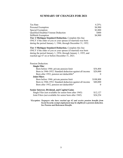## **SUMMARY OF CHANGES FOR 2021**

| <b>Tax Rate</b><br>Personal Exemption<br>Special Exemption<br>Qualified Disabled Veteran Deduction<br><b>Stillbirth Exemption</b><br>Tier 2 Michigan Standard Deduction. Complete this line<br>ONLY if the older of you or your spouse (if married) was born<br>during the period January 1, 1946, through December 31, 1952.                                          | 4.25%<br>\$4,900<br>\$2,800<br>\$400<br>\$4,900         |
|------------------------------------------------------------------------------------------------------------------------------------------------------------------------------------------------------------------------------------------------------------------------------------------------------------------------------------------------------------------------|---------------------------------------------------------|
| Tier 3 Michigan Standard Deduction. Complete this line<br>ONLY if the older of you or your spouse (if married) was born<br>during the period January 1, 1954, through January 1, 1955, and<br>reached age 67 on or before December 31, 2021.                                                                                                                           |                                                         |
| Pension Deduction:<br><b>Single Filer</b><br>Born before 1946: private pension limit<br>Born in 1946-1952: Standard deduction against all income<br>Born after 1952, pension not deductible*<br><b>Joint Filers</b><br>Born before 1946: private pension limit<br>Born in 1946-1952: Standard deduction against all income<br>Born after 1952, pension not deductible* | \$54,404<br>\$20,000<br>0<br>\$108,808<br>\$40,000<br>0 |
| <b>Senior Interest, Dividend, and Capital Gains</b><br>Single Filer (not available for senior born after 1945)<br>Joint Filers (not available for senior born after 1945)<br>$*Evolution: Tavnanose who have reached a\alpha\beta\gamma\alpha$ and vacaive nowing have functions                                                                                       | \$12,127<br>\$24,254                                    |

 *Social Security exempt employment may be eligible for a pension deduction. See Pension and Retirement Benefits. \*Exception: Taxpayers who have reached age 62 and receive pension benefits from*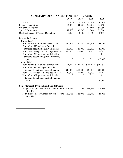|                                                            | <u> 2017 </u>    | 2018             | <u> 2019 </u>    | <u> 2020 </u> |
|------------------------------------------------------------|------------------|------------------|------------------|---------------|
| <b>Tax Rate</b>                                            | 4.25%            | 4.25%            | 4.25%            | 4.25%         |
| Personal Exemption                                         | \$4,000          | \$4,050          | \$4,400          | \$4,750       |
| <b>Stillbirth Exemption</b>                                | $\Omega$         | $\theta$         | \$4,400          | \$4,750       |
| <b>Special Exemption</b>                                   | \$2,600          | \$2,700          | \$2,700          | \$2,800       |
| Qualified Disabled Veteran Deduction                       | \$400            | \$400            | \$400            | \$400         |
| <b>Pension Deduction</b>                                   |                  |                  |                  |               |
| <b>Single Filer:</b>                                       |                  |                  |                  |               |
| Born before 1946: private pension limit                    | \$50,509         | \$51,570         | \$52,808         | \$53,759      |
| Born after 1945 and age 67 or older:                       |                  |                  |                  |               |
| Standard deduction against all income                      | \$20,000         | \$20,000         | \$20,000         | \$20,000      |
| Born 1946 through 1952 and age 66 or less                  | \$20,000         | \$20,000         | N/A              | N/A           |
| Born after 1952, pension not deductible                    | $\theta$         | 0                | $\boldsymbol{0}$ | $\theta$      |
| Standard deduction against all income,                     |                  |                  |                  |               |
| up to:                                                     | $\boldsymbol{0}$ | $\boldsymbol{0}$ | $\boldsymbol{0}$ | \$20,000      |
| <b>Joint Filers:</b>                                       |                  |                  |                  |               |
| Born before 1946: private pension limit                    | 101,019          | \$103,140        | \$105,615        | \$107,517     |
| Born after 1945 and age 67 or older:                       |                  |                  |                  |               |
| Standard deduction against all income                      | \$40,000         | \$40,000         | \$40,000         | \$40,000      |
| Born 1947 through 1952 and age 66 or less                  | \$40,000         | \$40,000         | \$40,000         | N/A           |
| Born after 1952, pension not deductible                    | $\theta$         | 0                | $\theta$         | $\theta$      |
| Standard deduction against all income,                     |                  |                  |                  |               |
| up to:                                                     | $\theta$         | $\mathbf{0}$     | $\mathbf{0}$     | \$40,000      |
| <b>Senior Interest, Dividend, and Capital Gains</b>        |                  |                  |                  |               |
| Single Filer (not available for senior born<br>after 1945) | \$11,259         | \$11,495         | \$11,771         | \$11,983      |
| Joint Filers (not available for senior born<br>after 1945) | \$22,518         | \$22,991         | \$23,542         | \$23.966      |

## **SUMMARY OF CHANGES FOR PRIOR YEARS**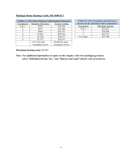|  |  | Michigan Home Heating Credit, MI-1040CR-7 |
|--|--|-------------------------------------------|
|  |  |                                           |

| TABLE A: 2021 Home Heating Credit Standard Allowance |                           |                      |  |
|------------------------------------------------------|---------------------------|----------------------|--|
| Exemptions                                           | <b>Standard Allowance</b> | Income Ceiling       |  |
| $0$ or $1$                                           | \$497                     | \$14,186             |  |
| 2                                                    | \$672                     | \$19,186             |  |
|                                                      | \$846                     | \$24,157             |  |
|                                                      | \$1,021                   | \$29,156             |  |
|                                                      | \$1,196                   | \$34,157             |  |
|                                                      | \$1,371                   | \$39,157             |  |
|                                                      | $+$ \$175 for each        | $+$ \$5,000 for each |  |
|                                                      | exemption over 6          | exemption over 6     |  |

| TABLE B: 2021 Exemption and Maximum<br>Income for the Alternate Credit Computation |                |  |
|------------------------------------------------------------------------------------|----------------|--|
| <b>Exemptions</b>                                                                  | Maximum Income |  |
| $0$ or $1$                                                                         | \$15,237       |  |
| \$20,504                                                                           |                |  |
|                                                                                    | \$25,775       |  |
| 4 or more                                                                          | \$27,700       |  |

## **Maximum heating costs:** \$3,047

*Note: For additional information on topics in this chapter, visit<www.michigan.gov/taxes> select "Individual Income Tax," and "Reports and Legal" tab for a list of resources.*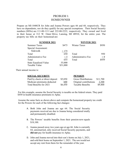## PROBLEM 1: HOMEOWNER

 Prepare an MI-1040CR for John and Joanna Powers ages 66 and 68, respectively. They have no dependents, nor do they qualify for any special exemptions. Their Social Security numbers (SSNs) are 111-00-1111 and 222-00-2222, respectively. They owned and lived in their house at 312 W. Outer Drive, Lansing, MI 48910, for the entire year. The property tax bills on their homestead are:

| <b>SUMMER 2021</b>           | <b>WINTER 2021</b> |                     |       |
|------------------------------|--------------------|---------------------|-------|
| <b>Summer Taxes</b>          | \$475              | <b>Winter Taxes</b> | \$950 |
| Special Assessment:          |                    |                     |       |
| Sidewalk                     | $+175$             |                     |       |
| Total                        | 650                | Total               | 950   |
| Administrative Fee           | $+5$               | Administrative Fee  | $+9$  |
| Total                        | 655                | Total               | \$959 |
| <b>State Equalized Value</b> | 55,000             |                     |       |
| Taxable Value                | \$31,000           |                     |       |

Their annual income is:

| <b>SOCIAL SECURITY</b>          |         | <b>PENSION</b>             |          |
|---------------------------------|---------|----------------------------|----------|
| Paid by check or direct deposit | \$5,850 | <b>Gross Distributions</b> | \$11,700 |
| Medicare premiums deducted      | 600     | Original contributions     | 2,300    |
| Total Benefits for 2021         | \$6,450 | Taxable Benefits           | \$9,400  |

 For this example, assume the Social Security is taxable on the federal return. They paid \$450 in health insurance premiums to Aplac.

 Assume the same facts as shown above and compute the homestead property tax credit for the Powers for each of the following fact changes:

- A. Both John and Joanna are age 64. The Social Security payments received are due to Joanna being considered totally and permanently disabled.
- B. The Powers' taxable benefits from their pension now equals \$18,100.
- **did not** pay for health insurance to Aplac. C. Joanna passed away two years ago at age 66. John is currently 64, unremarried, only received Social Security payments, and
- D. John and Joanna moved into their son's home on July 1, 2021, and sold their home on September 1, 2021. The son would not accept any rent from them for the remainder of the year.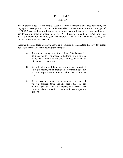## PROBLEM 2: RENTER

 Susan Storm is age 49 and single. Susan has three dependents and does not qualify for any special exemptions. Her SSN is 999-00-9999. Her only income was from wages of \$17,850. Susan paid no health insurance premiums, as health insurance is provided by her employer. She rented an apartment at 360 W. 18 Street, Holland, MI 49422 and paid \$750 per month for the entire year. Her landlord is Bill Lux at 505 Main, Zeeland, MI 49424. Prepare her MI-1040CR.

 Assume the same facts as shown above and compute the Homestead Property tax credit for Susan for each of the following fact changes:

- A. Susan rented an apartment at Holland City Towers for \$800 per month. The apartment building pays a service fee to the Holland City Housing Commission in lieu of ad valorem property taxes.
- B. Susan lived in a mobile home park and paid lot rent of \$840 per month, which included \$3 per month specific tax. Her wages have also increased to \$52,250 for the year.
- month. She also lived six months in a service fee complex where she paid \$725 per month. Her wages are C. Susan lived six months in a complex that pays ad valorem property taxes and she paid \$800 rent per \$17,850.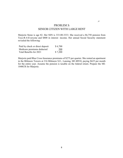## SENIOR CITIZEN WITH LARGE RENT PROBLEM 3:

 Marjorie Stone is age 82. Her SSN is 333-00-3333. She received a \$6,750 pension from Toys-R-4-Everyone and \$800 in interest income. Her annual Social Security statement revealed the following:

| Paid by check or direct deposit | \$6,700 |
|---------------------------------|---------|
| Medicare premiums deducted      | 500     |
| Total Benefits for 2021         | \$7,200 |

 Marjorie paid Blue Cross Insurance premiums of \$275 per quarter. She rented an apartment in the Biltmore Towers at 216 Biltmore S.E., Lansing, MI 48910, paying \$625 per month for the entire year. Assume the pension is taxable on the federal return. Prepare the MI-1040CR for Marjorie.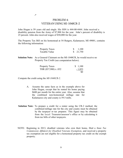## VETERAN USING MI-1040CR-2 PROBLEM 4:

 John Hogan is 59 years old and single. His SSN is 444-00-4444. John received a disability pension from the Army of \$7,900 for the year. John's percent of disability is 25 percent. John also received wages of \$50,000 for the year.

 The Property Tax Bill on his homestead at 54 Rutgers, Kalamazoo, MI 49001, contains the following information:

| <b>Property Taxes</b> | $\frac{\$}{1,100}$ |
|-----------------------|--------------------|
| Taxable Value         | $\frac{$}{21,750}$ |

 Property Tax Credit (see computation below). **Solution Note:** As a General Claimant on the MI-1040CR, he would receive no

| <b>Property Taxes</b> | \$1,100       |
|-----------------------|---------------|
| THR (\$57,900) x .032 | $-1,853$      |
|                       | <sup>SO</sup> |

Compute the credit using the *MI-1040CR-2*.

حر

- \$600 per month for the entire year. Also, assume that A. Assume the same facts as in the example above for John Hogan, except that he rented his home paying the combined non-homestead millage rate for Kalamazoo city and county is 59.5 mills.
- **Solution Note:** To prepare a credit for a renter using the CR-2 method, the combined millage rate for the city and county must be obtained by the taxpayer or tax preparer. This figure may be obtained from the local Treasurer/assessor's office or by calculating it from tax bills of other taxpayers.
- NOTE: Beginning in 2013, disabled veterans who own their home, filed a *State Tax Commission Affidavit for Disabled Veterans Exemption*, and received a property tax exemption are not eligible for a homestead property tax credit on the exempt property.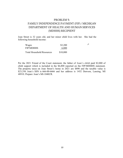## FAMILY INDEPENDENCE PAYMENT (FIP) / MICHIGAN PROBLEM 5: DEPARTMENT OF HEALTH AND HUMAN SERVICES (MDHHS) RECIPIENT

 Joan Street is 32 years old, and her minor child lives with her. She had the following household income:

| Wages                            | \$3,200  | حر |
|----------------------------------|----------|----|
| <b>FIP/MDHHS</b>                 | 6,800    |    |
| <b>Total Household Resources</b> | \$10,000 |    |

 Per the 2021 Friend of the Court statement, the father of Joan's child paid \$2,000 of child support which is included in the \$6,800 reported on the FIP/MDHHS statement. The property taxes on Joan Street's home in 2021 are \$890 and the taxable value is \$23,350. Joan's SSN is 666-00-6666 and her address is 1452 Dawson, Lansing, MI 48910. Prepare Joan's MI-1040CR.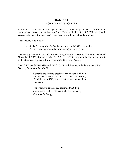## HOME HEATING CREDIT PROBLEM 6:

 Arthur and Millie Watson are ages 83 and 81, respectively. Arthur is deaf (cannot communicate through the spoken word) and Millie is blind (vision of 20/200 or less with corrective lenses in the better eye). They have no children or other dependents.

Their income is as follows:

 $\mathcal{L}$ 

- Social Security after the Medicare deduction is \$680 per month.
- Pension from Ajax Manufacturing is \$5,750 for the year.

 The heating statements from Consumers Energy for the 12-consecutive-month period of November 1, 2020, through October 31, 2021, is \$1,970. They own their home and heat it with natural gas. Prepare a Home Heating Credit for the Watsons.

 Their SSNs are 888-00-8888 and 777-00-7777, and they reside in their home at 3607 Weaver, Royal Oak, MI 48073.

> A. Compute the heating credit for the Watson's if they moved on January 15, 2021, to 660 W. Foster, Ferndale, MI 48221, where heat is now included in their rent.

The Watson's landlord has confirmed that their apartment is heated with electric heat provided by Consumer's Energy.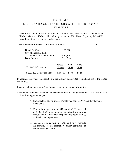## MICHIGAN INCOME TAX RETURN WITH TIERED PENSION PROBLEM 7: EXAMPLES

 Donald and Sandra Earle were born in 1944 and 1954, respectively. Their SSNs are 221-00-3344 and 112-00-1212 and they reside at 200 River, Saginaw, MI 48602. Donald's mother is considered a dependent.

Their income for the year is from the following:

 $\overline{a}$ 

| Donald's Wages                                                            | \$25,500<br>\$12,850<br>750 |            |                     |
|---------------------------------------------------------------------------|-----------------------------|------------|---------------------|
| City of Highland Park<br>Pension (not SSA exempt)<br><b>Bank Interest</b> |                             |            |                     |
| 2021 W-2 Information                                                      | Gross<br>Wages              | Fed<br>W/H | <b>State</b><br>W/H |
| 55-2222222 Barker Products                                                | \$25,500                    | \$775      | \$625               |

In addition, they want to donate \$10 to the Military Family Relief Fund and \$15 to the United Way Fund.

Prepare a Michigan Income Tax Return based on the above information.

Assume the same facts as shown above and complete a Michigan Income Tax Return for each of the following fact changes:

- A. Same facts as above, except Donald was born in 1947 and they have no dependents.
- B. Donald is single, born in 1947 and deaf. He received a \$100 2020 city income tax refund which was included in his 2021 AGI, his pension is now \$21,000, and he has no dependents.
- C. Donald is single, born in 1955, and fully supports his mother. He did not make voluntary contributions on his Michigan return.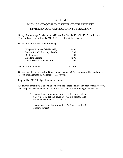#### PROBLEM 8:

## MICHIGAN INCOME TAX RETURN WITH INTEREST, DIVIDEND, AND CAPITAL GAIN SUBTRACTION

 George Burns is age 79 (born in 1942) and his SSN is 555-00-5555. He lives at 456 Fire Lane, Grand Rapids, MI 49505. His filing status is single.

His income for the year is the following:

| Wages – Walmark (38-9999998)     | \$5,800 |
|----------------------------------|---------|
| Interest from U.S. savings bonds | 1,700   |
| <b>Bank</b> interest             | 1,500   |
| Dividend Income                  | 8,500   |
| Social Security (nontaxable)     | 2,700   |
| Michigan Withholding             | - 260   |

 George rents his homestead in Grand Rapids and pays \$750 per month. His landlord is Gibson Management in Kalamazoo, MI 49001.

Prepare his 2021 Michigan income tax return.

 Assume the same facts as shown above, with the exceptions listed in each scenario below, and complete a Michigan income tax return for each of the following fact changes:

- A. George has a roommate; they are both contracted to pay rent. Rent for the house is \$900 per month. His dividend income increased to \$11,400.
- a month for rent. B. George is age 66 (born May 30, 1955) and pays \$350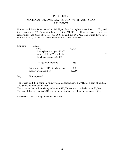## PROBLEM 9:

## MICHIGAN INCOME TAX RETURN WITH PART-YEAR RESIDENTS

 Norman and Patty Duke moved to Michigan from Pennsylvania on June 1, 2021, and they reside at 41692 Brunswick Lane, Lansing, MI 48910. They are ages 51 and 44 respectively, and their SSNs are 300-00-0300 and 299-00-2929. The Dukes have three children ages 9, 13, and 15. Their income for 2021 is as follows:

حر

| Norman: | Wages:                                                                                    |                |
|---------|-------------------------------------------------------------------------------------------|----------------|
|         | Ajax, Inc.                                                                                | \$90,000       |
|         | (Pennsylvania wages \$65,000)<br>earned while a PA resident)<br>(Michigan wages \$25,000) |                |
|         | Michigan withholding                                                                      | 785            |
|         | Interest received (\$175 in Michigan)<br>Lottery winnings (MI)                            | 500<br>\$2,750 |

Patty: Not employed

 The Dukes sold their home in Pennsylvania on September 30, 2021, for a gain of \$5,000. The gain is not included in AGI.

 The taxable value of their Michigan home is \$85,000 and the taxes levied were \$2,500. The school district code is 63010 and the number of days as Michigan residents is 214.

Prepare the Dukes Michigan income tax return.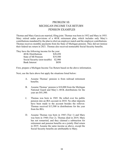## PENSION EXAMPLES PROBLEM 10: MICHIGAN INCOME TAX RETURN

 Thomas and Mary Garcia are married, filing joint. Thomas was born in 1952 and Mary in 1955. Mary retired under provisions of a 401K retirement plan, which includes only Mary's their federal tax return in 2021. Thomas also received nontaxable Social Security benefits. contributions mandated by the plan to elicit an employer match and the employer contributions. Thomas receives monthly payments from his State of Michigan pension. They did not itemize

They have the following income for the year:

| 401K Distributions            | \$28,450 |
|-------------------------------|----------|
| State of MI Pension           | \$19,500 |
| Social Security (non-taxable) | \$2,900  |
| <b>Bank Interest</b>          | \$850    |

First, prepare a Michigan Income Tax Return based on the above information.

Next, use the facts above but apply the situations listed below:

- A. Assume Thomas' pension is from railroad retirement benefits.
- National Guard and Mary's 401K distributions for the B. Assume Thomas' pension is \$10,000 from the Michigan year are \$41,500.
- C. Thomas was born in 1945. He rolled over his public pension into an IRA account in 2010. No other deposits have been made to the account besides the rollover. Thomas received \$13,500 in distributions for the year from his IRA.
- retirement and pension benefits on a jointly filed return in 2019. Assume the same income as above, except the D. Assume Thomas was born in 1945 (Tier 1) and Mary was born in 1948 (Tier 2). Thomas died in 2019, Mary has not remarried, and they claimed a subtraction for Social Security benefits are attributable to Mary.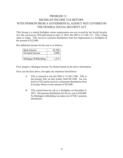## PROBLEM 11: MICHIGAN INCOME TAX RETURN WITH PENSION FROM A GOVERMENTAL AGENCY NOT COVERED BY THE FEDERAL SOCIAL SECURITY ACT

 Act. She was born in 1958 and retired on June 13, 2016. Her SSN is 111-00-1111. Tilly's filing status is single. Tilly receives a pension distribution from her employment as a firefighter in the amount of \$25,000. Tilly Strong is a retired firefighter whose employment was not covered by the Social Security

Her additional income for the year is as follows:

| <b>Bank Interest</b> | \$3,500 |
|----------------------|---------|
| Dividend Income      | 9,800   |
|                      |         |
| Michigan Withholding | 1.275   |

First, prepare a Michigan Income Tax Return based on the above information.

Next, use the facts above, but apply the situations listed below:

- A. Tilly is married to Joe (his SSN is 112-00-1100). Tilly is the primary filer on their jointly filed MI-1040. Joe was born in 1952 and he receives a retirement distribution from Everyday Motors in the amount of \$25,000.
- 2012. Her pension distribution for the tax year is \$30,000. B. Tilly retired from her job as a firefighter on December 9, No Michigan withholding was taken out of Tilly's pension distribution.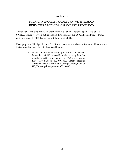## Problem 12:

## MICHIGAN INCOME TAX RETURN WITH PENSION NEW - TIER 3 MICHIGAN STANDARD DEDUCTION

 Trevor Hanes is a single filer. He was born in 1953 and has reached age 67. His SSN is 222- 00-2222. Trevor receives a public pension distribution of \$35,000 and earned wages from a part-time job of \$4,500. Trevor has withholding of \$1,012.

 facts above, but apply the situation listed below: First, prepare a Michigan Income Tax Return based on the above information. Next, use the

> A. Trevor is married and filing a joint return with Emory. Trevor has \$8,500 of taxable social security benefits included in AGI. Emory is born in 1954 and retired in 2014. Her SSN is 333-00-3333. Emory receives retirement benefits from SSA exempt employment of \$12,000 and private pension of \$30,000.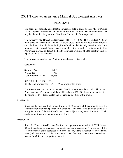## 2021 Taxpayer Assistance Manual Supplement Answers

## PROBLEM 1

 The portion of property taxes that the Powers are able to claim on their MI-1040CR is \$1,439. Special assessments are excluded from this amount. The administration fee may be claimed as long as it is 1% or less of the tax bill for that period.

 Powers are allowed to deduct the health insurance premium of \$450 that they paid to Aplac on line 31 of the form. The Powers' Total Household Resources (THR) is \$14,800. This includes \$9,400 of their pension distribution, which is their gross distribution less their original contributions. Also included is \$5,850 of their Social Security benefits, Medicare premiums paid through Social Security should not be included in this amount. The

The Powers are entitled to a \$965 homestead property tax credit.

Calculation

Summer Tax \$480 Winter Tax 959 Total Property Taxes \$1,439

 $$1,439$  total property tax  $$474 = $965$  property tax credit  $$14,800$  THR x  $3.2\%$  = \$474

The Powers use Section A of the MI-1040CR to compute their credit. Since the Powers are age 65 or older, and their THR is below \$21,000, they are not subject to the senior credit reduction rates and are entitled to 100% of the credit.

#### **Problem 1A**

 exemption for totally and permanently disabled. Their credit would now be calculated Since the Powers are both under the age of 65 Joanna still qualifies to use the using Section B of the MI-1040CR and is not subject to any reduction rates. Their credit amount would remain the same at \$965.

#### **Problem 1B**

 \$23,500 and leads to a reduced rate due to the senior reduction. The amount of the Since the Powers' taxable benefits from their pension increased, their THR is now credit they could claim decreased from 100% to 88% due to the senior credit reduction rates (*refer MI-1040CR Table A in the MI-1040 booklet*). The Powers would now receive \$605 for their property tax credit.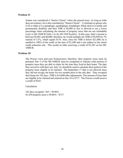#### **Problem 1C**

 (*refer to MI-1040CR Table 2 in the MI-1040 booklet)*. In this case, John's income is between \$5,001 and \$6,000; therefore, he would multiply his THR of \$5,850 by 3% entitled to 100% of the credit or the max of \$1,500 and is not subject to the senior credit reduction rate. This results in John receiving a credit of \$1,263 on his MI-Joanna was considered a "Senior Citizen" when she passed away. As long as John does not remarry, he is also considered a "Senior Citizen". A claimant or spouse who is 65 or older or is a paraplegic, quadriplegic, hemiplegic, blind, deaf or is totally and permanently disabled, and their THR is \$6,000 or less is allowed to use a lower percentage when calculating the amount of property taxes that are not refundable instead of 3.2%, which equals \$176. Also, since his THR is below \$21,000, he is 1040CR*.* 

#### **Problem 1D**

 they moved in with their son, July 1st, should be used to calculate their portion of the property taxes eligible to be claimed. The September  $1<sup>st</sup>$  date is not allowed since they did not occupy the home for two months prior to the sale date. They occupied their home for 182 days. THR is \$14,800 after adjustments. The amount of taxes that The Powers were part-year homeowners; therefore, their property taxes must be prorated. Part 3 of the MI-1040CR must be completed to indicate what portion of property taxes they are able to claim for the time they lived at their home. The date are eligible to be claimed and entered on line 10 is \$717. The Powers would receive a credit of \$243.

Calculation:

 182 days occupied / 365 = 49.86% \$1,439 property taxes x  $49.86\% = $717$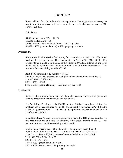1040CR is \$899. Susan paid rent for 12 months at the same apartment. Her wages were not enough to result in additional phase-out limits; as such, the credit she receives on her MI-

Calculation

\$9,000 annual rent x  $23\% = $2,070$  $$17,850$  THR x  $3.2\%$  = \$571 \$2,070 property taxes included in rent  $-$  \$571 = \$1,499  $$1,499 \times 60\%$  (general claimant) = \$899 property tax credit

#### **Problem 2A**

 Since Susan lived in service fee housing for 12 months, she may claim 10% of her paid rent for property taxes. This is calculated in Part 5 of the MI-1040CR. The property taxes eligible to be claimed in this situation (\$960) are entered on line 10 of the MI-1040CR; do not enter amounts on line 11 or 12 in this circumstance. This results in Susan receiving a credit of \$233.

Rent:  $$800$  per month x 12 months =  $$9,600$  $$9,600 \times 10\% = $960$  property taxes eligible to be claimed, line 56 and line 10  $$17,850$  THR x  $3.2\%$  = \$571  $$960 - $571 = $389$  $$389 \times 60\%$  (general claimant) = \$233 property tax credit

#### **Problem 2B**

Susan lived in a mobile home park for 12 months; as such, she pays a \$3 per month specific property tax that is included in her lot rent.

For Part 4, line 52, column E, the \$36 (12 months x \$3) has been subtracted from the total rent and instead included on line 10. Susan's rent is calculated in Part 4, line 52 at \$10,044 ((\$840 lot rent x  $12 = $10,080$ ) – \$36 property taxes) and included on line 11 of the MI-1040CR.

 In addition, Susan's wages increased, subjecting her to the THR phase-out rates. In this case, Susan was only able to claim 90% of her credit, entered on line 43. This means that Susan would be receiving a \$364 credit.

Rent:  $$840 \times 12$  months =  $$10,080 - $36$  taxes =  $$10,044 \times 23\% = $2,310$ Total Tax:  $$36$  tax +  $$2,310$  (portion of taxes included in rent) =  $$2,346$  $$404 \times 90\%$  (phase-out) = \$364 property tax credit Mobile home specific tax =  $$3 \times 12$  months =  $$36$  property taxes, line 10 THR: \$52,250 x 3.2% = \$1,672  $$2,346 - $1,672 = $674$  $$674 \times 60\%$  (general claimant) = \$404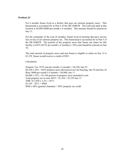#### **Problem 2C**

 line 11. For 6 months Susan lived in a facility that pays ad valorem property taxes. This homestead is accounted for in Part 4 of the MI-1040CR. The total rent paid at this location is \$4,800 (\$800 per month x 6 months). This amount should be entered on

 For the remainder of the year (6 months), Susan lived in housing that pays service fees in lieu of ad valorem property tax. This homestead is accounted for in Part 5 of the MI-1040CR. The portion of the property taxes that Susan can claim for this facility is \$435 ( $(\$725$  per month x 6 months) x 10%) and should be entered on line 10.

 The total amount of property taxes and rent Susan is eligible to claim on line 13 is \$1,539. Susan would receive a credit of \$581.

#### Calculation

Property Tax:  $$725$  rent per month x 6 months =  $$4,350$ , line 55  $$4,350 \times 10\% = $435$  property taxes allowed service fee housing, line 56 and line 10 Rent:  $$800$  per month x 6 months =  $$4,800$ , line 11  $$4,800 \times 23\% = $1,104$  portion of property taxes included in rent Total property tax in rent:  $$435 + $1,104 = $1,539$  line 13 THR: \$17,850 x 3.2% = \$571  $$1,539 - $571 = $968$  $$968 \times 60\%$  (general claimant) = \$581 property tax credit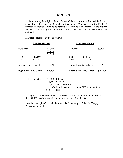A claimant may be eligible for the Senior Citizen – Alternate Method for Renter instruction booklet should be completed to determine if this method or the regular method for calculating the Homestead Property Tax credit is more beneficial to the calculation if they are over 65 and rent their home. Worksheet 5 in the MI-1040 claimant(s).

Marjorie's credit computes as follows:

|                              | <b>Regular Method</b> |                                |                         | <b>Alternate Method</b>        |           |
|------------------------------|-----------------------|--------------------------------|-------------------------|--------------------------------|-----------|
| Rent/year                    |                       | \$7,500<br>$X$ 0.23<br>\$1,725 | Rent/year               |                                | \$7,500   |
| <b>THR</b><br>$X$ 3.2%       | \$13,150<br>X 0.032   |                                | <b>THR</b><br>$X\,40\%$ | \$13,150<br>0.4                |           |
| <b>Amount Not Refundable</b> |                       | 421                            |                         | <b>Amount Not Refundable</b>   | $-5,260$  |
| <b>Regular Method Credit</b> |                       | <u>\$1,304</u>                 |                         | <b>Alternate Method Credit</b> | $$2,240*$ |

| THR Calculation: \$ 800 Interest |              |                                                                        |
|----------------------------------|--------------|------------------------------------------------------------------------|
|                                  |              | 6,750 Pension                                                          |
|                                  |              | 6,700 Social Security                                                  |
|                                  |              | $(1,100)$ Health insurance premium $(\$275 \times 4 \text{ quarters})$ |
|                                  | \$13,150 THR |                                                                        |

 for a \$1,500 maximum credit, this should be entered on line 44. \*Using the Alternate Method (see Worksheet 5 in the instruction booklet) allows

 (Another example of this calculation can be found on page 75 of the Taxpayer Assistance Manual.)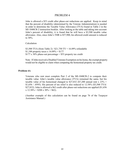John is allowed a \$53 credit after phase-out reductions are applied. Keep in mind allowance. Also, since John's THR is \$57,900, his allowed credit amount is reduced that the percent of disability (determined by the Veteran Administration) is needed in order to determine the Taxable Value Allowance (TVA) found in Table 2 in the MI-1040CR-2 instruction booklet. After looking at the table and taking into account John's percent of disability, it is found that he will have a \$3,500 taxable value to 30%.

Calculation

 \$3,500 TVA (from Table 2) / \$21,750 TV = 16.09% refundable \$1,100 property taxes x  $16.09\% = $177$  $$177 x 30\%$  phase-out percentage = \$53 property tax credit

 Note: If John received a Disabled Veterans Exemption on his home, the exempt property would not be eligible to claim when computing the homestead property tax credit.

#### **Problem 4A**

 \$1,656 / .0595). His percent of tax relief is also reduced to 12.58% (\$3,500 TVA/  $x 12.58\% = $208 \times 30\% = $62$ . Veterans who rent must complete Part 2 of the MI-1040CR-2 to compute their taxable value. John's taxable value allowance (TVA) remained the same, but his taxable value of his homestead changed to \$27,832 (\$7,200 annual rent x  $23\%$  = \$27,832). John is allowed a \$62 credit after phase-out reductions are applied (\$1,656

(Another example of this calculation can be found on page 76 of the Taxpayer Assistance Manual.)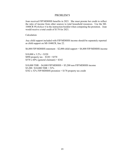Joan received FIP/MDHHS benefits in 2021. She must prorate her credit to reflect the ratio of income from other sources to total household resources. Use the MI-1040CR *Worksheet 4* in the instruction booklet when computing the proration. Joan would receive a total credit of \$178 for 2021.

Calculation

 as child support on MI-1040CR, line 22. Any child support included with FIP/MDHHS income should be separately reported

\$6,800 FIP/MDHHS statement – \$2,000 child support = \$4,800 FIP/MDHHS income

\$890 property tax  $-$  \$320 = \$570  $$10,000 \times 3.2\% = $320$  $$570 \times 60\%$  (general claimant) = \$342

 $$10,000$  THR  $- $4,800$  FIP/MDHHS  $= $5,200$  non FIP/MDHHS income  $$5,200 / $10,000$  THR = 52%  $$342 x 52\%$  FIP/MDHHS proration = \$178 property tax credit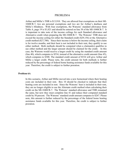Arthur and Millie's THR is \$13,910. They are allowed four exemptions on their MI- 1040CR-7, two are personal exemptions and two are for Arthur's deafness and Table A, page 19 is \$1,021 and should be entered on line 38 of the MI-1040CR-7. It credit method (\$27,700). Since their income is below the income ceiling, their claim either method. Both methods should be computed when a claimant(s) qualifies to use either method and the larger amount should be claimed for the credit. In this case, the Watsons would receive a larger credit by using the standard credit amount (line 40), which computes to \$534, instead of the alternative credit amount (line 45), Millie a larger credit. Please note, the credit amount for both methods is further reduced by the percentage of federal home heating assistance funds available for this year. Therefore, the credit is subject to further proration. Millie's blindness. With four exemptions, the Watsons' standard allowance from is important to take note of the income ceilings for each Standard allowance and Alternative credit when preparing the MI-1040CR-7. The Watsons' THR does not exceed the income ceiling for either the Standard credit (\$29,156) or the Alternative is for twelve months, and their heat is not included in their rent, they qualify to use which computes to \$308. The standard credit amount of \$534 will give Arthur and

#### **Problem 6A**

 costs are included in their rent. Box 10 should be checked to indicate that their credit by 50 percent. The Watsons' standard credit amount computes to \$267. Please proration. In this scenario, Arthur and Millie moved into a new homestead where their heating heating costs are included in rent. Since the Watsons' heat is included in their rent, they are no longer eligible to use the Alternate credit method when calculating their credit on the MI-1040CR-7. The Watsons' standard allowance and THR remained the same, but now they must complete line 41 and reduce their computed standard note, this amount is further reduced by the percentage of the federal home heating assistance funds available for this year. Therefore, the credit is subject to further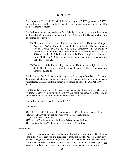The couple's AGI is \$39,100, which includes wages (\$25,500), pension (\$12,850), and bank interest (\$750). The Earles should claim three exemptions since Donald's mother is their dependent.

 The Earles do not have any additions from Schedule 1, but they do have subtractions totaling \$13,600, which are entered on the MI-1040*,* line 13. The subtractions are determined as follows:

- Pension Schedule, Form 4884 should be completed. The questions in (1) Since one or more of the Earles were born before 1946, the *Michigan*  "*Which Section of Form 4884 Should I Complete?"* in the MI-1040 instruction booklet are used to determine which section on page 2 of Form 4884 is completed. It is determined that the Earles complete section A of Form 4884. The \$12,850 amount from Section A, line 16 is entered on Schedule 1, line 25.
- (2) Due to one of the Earles being born before 1946, they are eligible to take a \$750 Dividend/Interest/Capital gains deduction. This is entered on Schedule 1, line 26.

 The Earles had \$625 of state withholding from their wages from Barker Products; withholding. The amount from Schedule W should be entered on the MI-1040, line 30.  $line 30.$ therefore, Schedule W should be completed to demonstrate the amount of each

 programs. Therefore, a *Michigan Voluntary Contributions Schedule* Form 4642 is The Earles have also chosen to make monetary contributions to a few charitable completed with the \$25 amount entered on the MI-1040, line 22*.* 

The Earles are entitled to a \$141 refund in 2021.

Calculation

 $$39,100$  AGI –  $$13,600$  Schedule 1 subtractions =  $$25,500$  income subject to tax  $$25,500 - $14,700$  exemption allowance =  $$10,800$  taxable income  $$10,800 \times 4.25\% = $459 \text{ tax}$ \$459 tax  $+$  \$25 voluntary contributions = \$484 total tax liability \$484 tax liability – \$625 Michigan withholding = \$141 refund

#### **Problem 7A**

 born in 1947; he is grouped into Tier 2 for retirement benefits. All Tier 2 filers have reached the age of 67 and are eligible for the Tier 2 Michigan Standard Deduction. The Earles can take a \$40,000 standard deduction, which can be used against **all**  The Earles have no dependents, so they are allowed two exemptions. Donald was income. Unlike in the previous scenario when we calculated an amount on Form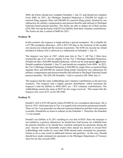married filing separate filers and \$40,000 for married filing jointly (limited by any subtraction for military compensation and pension benefits and railroad or Michigan (\$39,100), leaving the Earles with \$25 tax liability from their voluntary contributions. The Earles are due a refund of \$600 for 2021. 4884, the Earles should now complete Schedule 1, line 23, and should not complete Form 4884. In 2021, the Michigan Standard Deduction is \$20,000 for single or National Guard pension benefits). The Earles are able to deduct all of their income

#### **Problem 7B**

 a \$7,700 exemption allowance. AGI is \$47,350 (due to the inclusion of the taxable In this scenario, the taxpayer is single and has a special exemption. He is eligible for city income tax refund and the increase in pension). The \$100 city income tax refund included in federal AGI is allowed as a subtraction on Schedule 1, line 16.

 The taxpayer was born in 1947, which puts him in Tier 2. All Tier 2 filers have Donald can take a \$20,000 standard deduction, which can be used against **all** income. the Tier 2 Michigan Standard Deduction is \$20,000 for single filers or married filing reached the age of 67 and are eligible for the Tier 2 Michigan Standard Deduction. Donald completes Schedule 1, line 23, and should not complete Form 4884. In 2021, separate filers and \$40,000 for married filing jointly (limited by any subtraction for military compensation and pension benefits and railroad or Michigan National Guard pension benefits). The \$20,100 Schedule 1 total is carried to MI-1040, line 13.

 taxpayer's total tax liability to \$856 (\$831 tax + \$25 voluntary contributions). The taxpayer now owes \$231 on his MI-1040. The taxpayer had the same withholdings and volunteer contributions as the previous scenarios. The taxpayer had a higher pension distribution, which increased the withholdings remain the same at \$625 for the wages received. This means that the

#### **Problem 7C**

 born in 1955, which puts him in Tier 3 in regard to his retirement and pension benefit. Those in Tier 3 are generally not allowed a pension deduction and their entire pension Donald's AGI is \$39,100 and he claims \$9,800 for two exemption allowances. He is is taxable. Donald has no items to subtract on the Schedule 1. Therefore, the Schedule 1 is not needed.

 Donald's tax liability is \$1,245, resulting in a tax due of \$620. Since the taxpayer is his pension benefits or he should have remitted estimated tax payments during the should have made estimated tax payments to the Michigan Department of Treasury not entitled to a pension subtraction, he should have had income tax withheld from year. Anyone who can reasonably expect their annual tax amount to exceed their withholdings and credits by more than \$500 should make estimated tax payments. Failure to do so may result in additional interest and penalties. In this case, Donald since his tax due exceeds \$500.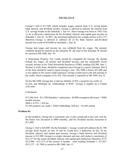Schedule 1*,* line 26. In 2021, the maximum deduction for a single person is \$12,127; therefore, George is allowed to subtract all of his bank interest and dividend income for a total of \$10,000 on Schedule 1*,* line 26. George's AGI is \$17,500, which includes wages, interest from U.S. saving bonds, bank interest, and dividend income. George is allowed to subtract the interest from U.S. savings bonds on the Schedule 1*,* line 10. Since George was born in 1942 (Tier 1), he is allowed a subtraction for his dividend, interest, and capital gain income on

 withheld should be entered on the Schedule W; the total of the Schedule W should be carried to MI-1040, line 30. George had wages and income tax was withheld from his wages. The amount

 Section A of the form, should be completed since George is a senior claimant. Part 4 of the form should be used to report George's rent. His THR is below \$21,000 and A Homestead Property Tax Credit should be completed for George. He should include his wages, all interest and dividend income, and his nontaxable social security income in his Total Household Resources (THR), totaling \$20,200. Part 1, is not subject to the senior credit reduction. George would receive the full amount of his credit, which computes to \$1,424. This amount is reported on MI-1040, line 25.

 On his MI-1040, George has a total tax liability of \$38, a property tax credit of \$1,424, and Michigan tax withholdings of \$260. George is eligible for a refund of \$1,646.

Calculation

 $$17,500$  AGI -  $$11,700$  Schedule 1 subtraction -  $$4,900$  exemption allowance =  $$900$ taxable income.  $$900 \times 4.25\% = $38 \text{ tax}$ \$1,424 property tax credit  $+$  \$260 withholding -\$38 tax = \$1,646 refund

#### **Problem 8A**

In this problem, George has a roommate who is also contracted to pay rent, rent for the house was increased to \$900 monthly, and his dividend income increased to \$11,400.

 George's AGI is \$20,400. On the Schedule 1, George would still subtract the \$1,700 income is \$12,900. George is a single claimant and may only deduct a maximum of (\$12,900 - \$12,127) of the income is taxable. After totaling Schedule 1, \$13,827 savings bond income on line 10 and he would have a deduction on line 26 for dividend, interest, and capital gain income. George's bank interest, and dividend \$12,127 for the senior dividend, interest, and capital gain deduction; therefore, \$773  $($12,127 + $1,700)$  is carried to MI-1040, line 13.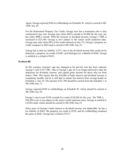1040, line 30. Again, George reported \$260 in withholdings on Schedule W, which is carried to MI-

 the entire \$900 a month. With the increase in dividend income, George's THR is increased to \$23,100. George is now subject to the senior credit reduction rates. For the Homestead Property Tax Credit, George now has a roommate who is also contracted to pay rent. George may claim \$450 a month or \$5,400 for the year, not George may only claim 88% of the credit (entered on line 37). George's property tax credit computes to \$443 and is carried to MI-1040, line 25.

 George has a total tax liability of \$71, due to the dividend income that could not be deducted, a property tax credit of \$443, and Michigan tax withheld of \$260. George is entitled to a refund of \$632.

#### **Problem 8B**

 In this scenario, George's age has changed to 66 and his rent has been reduced. George's AGI is \$17,500. Due to George's age, he is no longer allowed to take the before 1946. This means that his \$10,000 of bank interest and dividend income is MI-1040, line 13. deduction for dividend, interest, and capital gains income for those who are born completely taxable, but he is still able to deduct his interest from savings bonds on Schedule 1*,* line 10. The amount of \$1,700 should be carried from the Schedule 1 to

 MI-1040, line 30*.*  George reported \$260 in withholdings on Schedule W, which should be carried to

George's rent is now \$350 a month for a total of \$4,200 for the year. His THR is \$20,200 so he is not subject to the senior credit reduction rates. George is entitled to a \$320 credit, which should be carried to MI-1040, line 25.

 Since none of George's bank interest or dividend income was deductible, he has a tax liability of \$463. His property tax credit is \$320, and his withholding remained the same at \$260. George has a refund of \$117.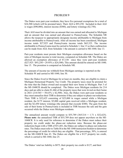The Dukes were part-year residents; they have five personal exemptions for a total of is wages (\$90,000), interest income (\$500), and lottery winnings (\$2,750). \$24,500 (which will be prorated later). Their AGI is \$93,250. Included in their AGI

 allows the taxpayer to appropriately designate income attributable to Michigan from Their AGI must be divided into an amount that was earned and allocated to Michigan and an amount that was earned and allocated to Pennsylvania. The Schedule NR income attributable to Pennsylvania. After all income has been considered, Michigan income totals \$27,925 and Pennsylvania income totals \$65,325. The income attributable to Pennsylvania must be carried to Schedule 1*,* line 13 so that a subtraction can be made from AGI; from Schedule 1 the amount is carried to MI-1040*,* line 13.

 allowed an exemption allowance of \$7,338 since they were part-year residents (\$27,925 / \$93,250 = 29.95% x \$24,500). This amount should be entered on MI-1040*,*  line 15. The proration is computed on Schedule NR. Part-year residents must prorate their Michigan exemption allowance based on the ratio of Michigan income to total income, computed on Schedule NR. The Dukes are

The amount of income tax withheld from Michigan earnings is reported on the Schedule W and carried to MI-1040, line 30.

 Michigan Homestead Property Tax Credit. The property taxes must be prorated for in 2021 (214/365 = 58.63% x \$2,500). Also, the Dukes were part-year residents so they must annualize their THR to determine if they are subject to phase-out reductions. and the \$2,450 lottery winnings (the amount that exceeds \$300). The gain from the sale of their home in Pennsylvania is included in THR because the sale and the gain Since the Dukes lived in Michigan for at least six months, they are eligible to claim a the time that the Dukes owned and occupied their new home in Michigan. Part 3 of the MI-1040CR should be completed. The Dukes were Michigan residents for 214 days and are able to claim \$1,466 of the property taxes that were levied on their home Their THR is \$32,625 consisting of \$25,000 in wages earned while a Michigan resident, the \$175 interest, \$5,000 capital gain received while a Michigan resident, occurred while the Dukes were Michigan residents.

The annualized amount would compute to  $$55,789$  (365/214 = 1.71 x \$32,625). **Please note**: the annualized THR of \$55,789 does not appear anywhere on the MI- 1040CR. It is only used for reference to determine if the Dukes must reduce their reductions begin with a THR of \$51,601, the Dukes are subject to phase-out reduction rates. The Dukes must refer to Table B in the MI-1040 instruction booklet to determine the percentage of credit for which they are eligible. That percentage, 50%, is entered property tax credit under the phase-out reduction rates. Because the phase-out on the MI-1040CR line 43. The Dukes are eligible for a \$127 property tax credit, which is carried to MI-1040, line 25.

The Dukes' total tax liability is \$875, their property tax credit is \$127, and their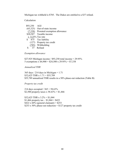Michigan tax withheld is \$785. The Dukes are entitled to a \$37 refund.

Calculation

| \$93,250            | AGI                                  |
|---------------------|--------------------------------------|
| (65,325)            | Out-of-state income                  |
|                     | (7,338) Prorated exemption allowance |
|                     | \$20,587 Taxable income              |
| x $4.25\%$ Tax rate |                                      |
|                     | \$ 875 Tax liability                 |
|                     | (127) Property tax credit            |
|                     | (785) Withholding                    |
| $\sqrt{2}$          | $\mathbf{r}$ $\alpha$ $\mathbf{r}$   |

\$ 37 Refund

*Exemption allowance* 

 \$27,925 Michigan income / \$93,250 total income = 29.95% 5 exemptions x \$4,900 = \$24,500 x 29.95% = \$7,338

*Annualized THR* 

 365 days / 214 days in Michigan = 1.71  $$32,625$  THR x  $1.71 = $55,789$ \$55,789 annualized THR results in a 50% phase-out reduction (Table B)

*Property tax credit* 

214 days occupied  $/ 365 = 58.63\%$ \$2,500 property taxes x  $58.63\% = $1,466$ 

\$32,625 THR x  $3.2\% = $1,044$ \$1,466 property tax  $-$  \$1,044 = \$422 \$422 x 60% (general claimant) =  $$253$ \$253 x 50% phase-out reduction =  $$127$  property tax credit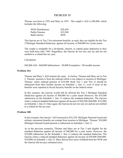includes the following: Thomas was born in 1952 and Mary in 1955. The couple's AGI is \$48,800, which

| 401K Distributions   | \$28,450 |
|----------------------|----------|
| Public Pension       | \$19,500 |
| <b>Bank</b> interest | \$850    |

 The Garcias are in Tier 2 for retirement benefits, as such, they are eligible for the Tier 2 Michigan Standard Deduction, against all income, of \$40,000 for a joint return.

 The couple is ineligible for a dividends, interest, or capital gains deduction as they were both born after 1945. Regardless, the Garcias do not owe any tax and are not entitled to a refund this tax year.

Calculation:

\$48,800 AGI– \$40,000 Subtractions – \$9,800 Exemption = \$0 taxable income

#### **Problem 10A**

 Thomas and Mary's AGI remains the same. As before, Thomas and Mary are in Tier 2. Thomas' pension is from the railroad which is not subject to taxation in Michigan. 2. Thomas' pension is from the railroad which is not subject to taxation in Michigan. Thomas' entire railroad pension of \$19,500 (both Tier 1 and Tier 2) should be subtracted from their taxable income on Schedule 1, line 11, even if some of the benefits were reported as Social Security benefits on the federal return.

 Deduction against all income of \$40,000 for a joint return However, the \$19,500 claim a reduced standard deduction against all income of \$20,500 (\$40,000- \$19,500) to a refund for the tax year. In this scenario, the Garcias would still be allowed the Tier 2 Michigan Standard subtraction on the Schedule 1*,* line 11 reduces the standard deduction. The Garcias on Schedule 1, line 23. Once again, the Garcias do not owe any tax and are not entitled

#### **Problem 10B**

 military retirement benefits are exempt from taxation in Michigan. Thomas' \$10,000 Michigan National Guard pension is subtracted on Schedule 1, line 11. In this scenario, the Garcias' AGI increased to \$52,350. Michigan National Guard and

Michigan National Guard pension is subtracted on Schedule 1, line 11.<br>As in the previous scenarios, Thomas and Mary are in Tier 2 and eligible for the standard deduction against all income of \$40,000 for a joint return. However, the \$10,000 subtraction on the Schedule 1*,* line 11 reduces the standard deduction. The Garcias claim a reduced standard deduction against all income of \$30,000 (\$40,000- \$10,000) on Schedule 1, line 23. Mary did not have taxes withheld from her 401K and the Garcias did not pay estimated taxes.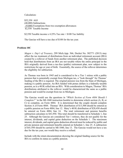#### Calculation:

 (9,800) Exemptions from two exemption allowances \$2,550 Taxable Income \$52,350 AGI (40,000) Subtractions

\$2,550 Taxable income x 4.25% Tax rate = \$108 Tax liability

The Garcias will have a tax due of \$108 for the tax year.

#### **Problem 10C**

 created by a rollover of funds from another retirement plan. The published decision restrictions for age or year of birth. Essentially, the source of the rollover determines *Magen v. Dep't of Treasury*, 299 Mich.App. 566, Docket No. 302771 (2013) may affect the tax treatment of distributions from an individual retirement account (IRA) held that distributions from an IRA are not taxable where the entire principal in the IRA originally derived from a tax-free (public) retirement plan, now subject to the the eligibility for subtraction.

 making it a public pension. An IRA funded with pretax dollars is a federally taxable pension and would be exempt from tax in Michigan. As Thomas was born in 1945 and is considered to be a Tier 1 retiree with a public pension that is potentially exempt from Michigan tax, a "look through" for Thomas' funding of the IRA is required. The original pension was from the State of Michigan, pension, as is a 401K rolled into an IRA. With consideration to Magen, Thomas' IRA distributions attributed to the rollover would be characterized the same as a public

 The Garcias would use the questions in "*Which Section of Form 4884 Should I Complete?"* in the MI-1040 instruction booklet to determine which section (A, B, or C) to complete, on Form 4884. It is determined that the couple should complete Section A of Form 4884. Thomas' IRA distribution of \$13,500 should be entered as a public pension on Form 4884, line 12. Mary's 401K distribution of \$28,450 should 25. Although the Garcias are considered Tier 1 retirees, they do not qualify for the interest, dividends, and capital gains deduction allowed must be reduced by public and of \$41,950 should be carried to MI-1040, line 13. The Garcias would not have a tax due for the tax year, nor would they receive a refund. be entered on Form 4884, line 14. The total retirement and pension benefits subtraction calculates to \$41,950. This total should be transferred to Schedule 1, line interest, dividends, and capital gains deduction on the Schedule 1. The maximum private pension and retirement benefits entered on Schedule 1, line 25. A subtraction

 Include with the return documentation showing the original funding source for the IRA to confirm its status as a public pension.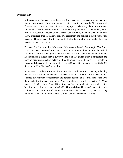#### **Problem 10D**

 claimed a subtraction for retirement and pension benefits on a jointly filed return with In this scenario Thomas is now deceased. Mary is at least 67, has not remarried, and Thomas in the year of his death. As a surviving spouse, Mary may claim the retirement and pension benefits subtraction that would have applied based on the earlier year of birth of the surviving spouse or the deceased spouse. Mary may now elect to claim the Tier 2 Michigan Standard Deduction, or a retirement and pension benefit subtraction based on Thomas' year of birth (subject to the limits available for a single filer); this election is made each year.

 *Tier 3 Surviving Spouses*" from the MI-1040 instruction booklet and uses the "*Which*  Deduction for a single filer is \$20,000 (line a of the guide). Mary's retirement and To make this determination, Mary reads "*Retirement Benefits Election for Tier 2 and Deduction Do I Claim*" guide for assistance. Mary's Tier 2 Michigan Standard pension benefit subtraction determined by Thomas' year of birth (Tier 1) would be larger, and she is directed to complete Form 4884 using Section A to arrive at \$47,950 for a single filer (line b of the guide).

 claimed a subtraction for retirement and pension benefits on a jointly filed return with the decedent in the year they died. When completing Form 4884, Section A, Mary benefits subtraction calculates to \$47,950. This total should be transferred to Schedule When Mary completes Form 4884, she must also check the box on line 7e, indicating that she is a surviving spouse who has reached the age of 67, has not remarried, and enters \$19,500 on line 12 and \$28,450 on line 14. The total retirement and pension 1, line 25. A subtraction of \$47,950 should be carried to MI-1040, line 13. Mary would not have a tax due for the tax year, nor would she receive a refund.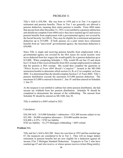Tilly's AGI is \$38,300. She was born in 1958 and is in Tier 3 in regard to pension deduction, meaning their entire pension is taxable. Form 4884 states that anyone born after December 31, 1952, is not entitled to a pension subtraction and should not complete Form 4884 *unless* they have reached age 62 and receive the Social Security Act (SSA). They may be eligible for a retirement and pension retirement and pension benefits. Those in Tier 3 are generally not allowed a pension benefits from employment with a governmental agency not covered by deduction up to \$15,000. If both spouses on a joint return have retirement benefits from an "uncovered" governmental agency, the maximum deduction is \$30,000.

 \$15,000. When completing Schedule 1, Tilly would fill out line 22 and check instruction booklet to determine which section (A, B, or C) to complete, on Form 4884. It is determined that she should complete Section C of Form 4884. Tilly's pension distribution exceeds the maximum \$15,000 pension deduction. The maximum \$15,000 is entered in Section C , line 18 and then entered on Schedule Since Tilly is single and receiving pension benefits from employment with a governmental agency not covered by the SSA (taxes for social security were never deducted from her wages) she would qualify for a pension deduction up to box C (Check if filer received benefits from SSA exempt employment) to indicate that her pension is SSA exempt. She would then complete the questions in "*Which Section of Form 4884 Should I Complete?"* located in the MI-1040 1, line 25.

 Schedule W should be entered on MI-1040, line 30. Tilly is entitled to a \$493 refund in 2021. As the taxpayer is not entitled to subtract her entire pension distribution, she had income tax withheld from her pension distribution. Schedule W should be completed to demonstrate the amount of the withholding. The amount from

Calculation:

 $$23,300 - $4,900$  exemption allowance =  $$18,400$  taxable income  $$18,400 \times 4.25\% = $782 \text{ tax liability}}$  \$782 tax liability – \$1,275 Michigan withholding = \$493 refund  $$38,300$  AGI –  $$15,000$  Schedule 1 subtraction =  $$23,300$  income subject to tax

#### **Problem 11A**

 Tilly and Joe's AGI is \$63,300. Since Joe was born in 1952 and has reached age income (Tier 2 Michigan Standard Deduction). Taxpayers in Tier 2 who have 67, the taxpayers are considered to be in Tier 2. They will no longer deduct retirement or pension benefits but are now eligible for a deduction against all reached age 67 and who receive, or whose spouse receives (when filing jointly),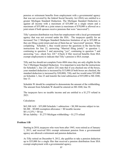against all income with a maximum of \$35,000 on a single return and a pension or retirement benefits from employment with a governmental agency that was not covered by the federal Social Security Act (SSA) are entitled to a greater Michigan Standard Deduction. The Michigan Standard Deduction is maximum of \$55,000 on a joint return (a maximum of \$70,000 is allowed on a joint return if both spouses receive pensions that were "uncovered").

 agency that was not covered under the SSA. The taxpayers qualify for an increased Tier 2 Michigan Standard Deduction limitation of up to \$55,000 as completing Schedule 1, they would answer the questions in the line-by-line exempt employment) to indicate that Tilly's pension is SSA exempt. Tilly's pension distribution was from her employment with a local governmental they are filing a joint return and one of them has an "uncovered" pension. When instructions for line 22, answering "Married filing jointly" to question 1, continuing to question 5 and answering "yes", continuing to question 7 and answering "yes.: check box 22C" (Check if filer received benefits from SSA

exempt employment) to indicate that Tilly's pension is SSA exempt.<br>Tilly and Joe should not complete Form 4884 since they are only eligible for the for Schedule 1, line 22C and/or 22G state that if you checked one of the boxes, your standard deduction is increased by \$15,000 (if both boxes are checked, the on Schedule 1, line 23 and transfer the total subtraction of \$55,000 to MI-1040,  $line 13.$ Tier 2 Michigan Standard Deduction. It is important to note that the instructions standard deduction is increased by \$30,000). Tilly and Joe would enter \$55,000

line 13.<br>Schedule W should be completed to demonstrate the amount of the withholding.<br>The amount from Schedule W should be entered on MI-1040, line 30.

 The taxpayers have no taxable income and are entitled to a \$1,275 refund in 2021.

Calculation:

 $$63,300$  AGI – \$55,000 Schedule 1 subtraction = \$8,300 income subject to tax  $$8,300 - $9,800$  exemption allowance = \$0 taxable income  $$0 \times 4.25\% = $0 \text{ tax}$ \$0 tax liability  $-$  \$1,275 Michigan withholding  $=$  \$1,275 refund

#### **Problem 11B**

 Starting in 2018, taxpayers who were born after 1945, were retired as of January agency are allowed a retirement and pension deduction. 1, 2013, and received SSA exempt retirement pension from a governmental

 exempt employment with a governmental agency. As Tilly retired on December 9, 2012, she qualifies to take a pension deduction up to \$35,000 for a single filer that received a pension distribution from SSA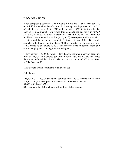Tilly's AGI is \$43,300.

 booklet to determine which section (A, B, or C) to complete, on Form 4884. It is determined that she should complete Section B of Form 4884. Tilly would exempt employment with a governmental agency. When completing Schedule 1, Tilly would fill out line 22 and check box 22C (Check if filer received benefits from SSA exempt employment) and box 22D (Check if retired as of 01-01-2013 and born after 1952) to indicate that her pension is SSA exempt. She would then complete the questions in "*Which Section of Form 4884 Should I Complete?"* located in the MI-1040 instruction also check the box on line 6 of Form 4884 to indicate that she was born after 1952, retired as of January 1, 2013, and received pension benefits from SSA

 to MI-1040, line 13. Tilly's pension is \$30,000, which is less than the maximum pension deduction limit of \$35,000. Tilly entered \$30,000 on Form 4884, line 17, and transferred the amount to Schedule 1, line 25. The total subtraction of \$30,000 is transferred

Tilly's return would compute to a tax due of \$357.

Calculation:

 $$13,300 - $4,900$  exemption allowance = \$8,400 taxable income  $$8,400 \times 4.25\% = $357 \text{ tax}$  \$357 tax liability – \$0 Michigan withholding = \$357 tax due  $$43,300$  AGI – \$30,000 Schedule 1 subtraction = \$13,300 income subject to tax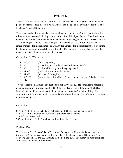## Problem 12:

 Trevor's AGI is \$39,500. He was born in 1953 and is in Tier 3 in regard to retirement and pension benefits. Those in Tier 3 who have reached the age of 67 are eligible for the Tier 3 Michigan Standard Deduction.

 Trevor may deduct his personal exemption allowance and taxable Social Security benefits, benefits and railroad retirement benefits included in adjusted gross income (AGI) or claim a military compensation (including retirement benefits), Michigan National Guard retirement Tier 3 Michigan Standard Deduction against all income, of \$20,000 for a return filed as single or married filing separately, or \$40,000 for a married filing joint return. To determine his deduction, complete Worksheet 2 in the MI-1040 booklet. This worksheet ensures the taxpayer receives the maximum benefit allowed.

Calculations for Worksheet 2:

| 1. $$20,000$   | (for a single filer)                                                     |
|----------------|--------------------------------------------------------------------------|
| 2. \$0         | (no Military or taxable railroad retirement benefits)                    |
| $3. \, \, \$0$ | (no Social Security or military pay benefits)                            |
| 4. \$4,900     | (personal exemption allowance)                                           |
| 5. \$4,900     | (add lines 2 through 4)                                                  |
| 6. $$15,100$   | (subtract line 5 from line 1. Enter result and carry to Schedule 1, line |
| 24)            |                                                                          |

 Schedule W should be completed to demonstrate the amount of the withholding. The amount from Schedule W should be entered on MI-1040, line 30. Trevor's return computes Trevor carries the Schedule 1 subtractions to MI-1040, line 13. He continues to report his personal exemption allowance on MI-1040, line 15. Trevor has withholding of \$1,012. to a refund of \$183.

Calculation:

Calculation:<br>\$39,500 AGI – \$15,100 Schedule 1 subtraction = \$24,400 income subject to tax  $$24,400 - $4,900$  exemption allowance = \$19,500 taxable income  $$19,500 \times 4.25\% = $829 \text{ tax}$  $$829$  tax liability –  $$1,012$  Michigan withholding =  $$183$  refund

#### **Problem 12A**

 The Hanes' AGI is \$90,000. Both Trevor and Emory are in Tier 3. As Trevor has reached the age of 67, the taxpayers are eligible for a Tier 3 Michigan Standard Deduction. They complete Schedule 1, line 22, checking the box on line 22G. The taxpayers must complete Worksheet 2 in the MI-1040 booklet.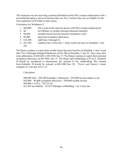governmental agency, however because they are Tier 3 retirees they are not eligible for the extra deduction of \$15,000 on their return. Calculation for Worksheet 2: The taxpayers may be receiving a pension distribution from SSA exempt employment with a

| 1. $$40,000$ | (for a joint return and one spouse with SSA exempt employment)           |
|--------------|--------------------------------------------------------------------------|
| 2. \$0       | (no Military or taxable railroad retirement benefits)                    |
| $3. \$8,500$ | (taxable Social Security benefits included in AGI)                       |
| 4. \$9,800   | (personal exemption allowance)                                           |
| 5. \$18,300  | (add lines 2 through 4)                                                  |
| 6. $$21,700$ | (subtract line 5 from line 1. Enter result and carry to Schedule 1, line |
| 24)          |                                                                          |
|              |                                                                          |

 total subtractions of \$30,200 to MI-1040, line 13. The Hanes continue to report their personal exemption allowance on MI-1040, line 15. The Hanes had withholding of \$1,012. Schedule W should be completed to demonstrate the amount of the withholding. The amount computes to a tax due of \$1,113. The Hanes continue to report their taxable Social Security benefits on Schedule 1, line 14 and their Tier 3 Michigan Standard Deduction of \$21,700 on Schedule 1, line 24. They carry their from Schedule W should be entered on MI-1040, line 30. Trevor and Emory's return

Calculation:

Calculation:<br>\$90,000 AGI – \$30,200 Schedule 1 subtraction = \$59,800 income subject to tax  $$59,800 - $9,800$  exemption allowance =  $$50,000$  taxable income  $$50,000 \text{ x } 4.25\% = $2,125 \text{ tax}$  $$2,1258$  tax liability –  $$1,012$  Michigan withholding =  $$1,113$ tax due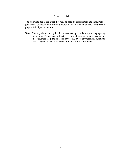## STATE TEST

 The following pages are a test that may be used by coordinators and instructors to give their volunteers extra training and/or evaluate their volunteers' readiness to prepare Michigan tax returns.

 **Note:** Treasury does not require that a volunteer pass this test prior to preparing tax returns. For answers to this test, coordinators or instructors may contact the Volunteer Helpline at 1-888-860-8389, or for any technical questions, call (517) 636-4230. Please select option 1 at the voice menu.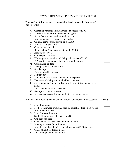## TOTAL HOUSEHOLD RESOURCES EXERCISE

 Which of the following must be included in Total Household Resources? Yes (Y) or No (N)

| A.          | Gambling winnings in another state in excess of \$300           |  |
|-------------|-----------------------------------------------------------------|--|
| B.          | Proceeds received from a reverse mortgage                       |  |
| $C_{\cdot}$ | Social Security received for a minor child                      |  |
| D.          | Nontaxable gain on the sale of a residence                      |  |
| Е.          | Original contributions shown on a 1099R                         |  |
| F.          | Workers' compensation                                           |  |
|             | G. Chore services received                                      |  |
|             | H. Relief in kind (nongovernmental under \$300)                 |  |
| I.          | Alimony received                                                |  |
| J.          | Child support received                                          |  |
|             | K. Winnings from a casino in Michigan in excess of \$300        |  |
| L.          | FIP paid to grandparents for care of grandchildren              |  |
|             | M. Cancellation of debt                                         |  |
|             | N. Unemployment compensation                                    |  |
|             | O. Scholarships                                                 |  |
| Ρ.          | Food stamps (Bridge card)                                       |  |
| Q.          | Military pay                                                    |  |
| R.          | Life insurance proceeds from death of a spouse                  |  |
| S.          | Tax exempt Michigan municipal bond interest                     |  |
| T.          | Gross income of mother-in-law who lives rent free in taxpayer's |  |
|             | home                                                            |  |
|             | U. State income tax refund received                             |  |
|             | V. Savings account withdrawals                                  |  |
|             | W. Assistance received from daughter to pay rent or mortgage    |  |
|             |                                                                 |  |

Which of the following may be deducted from Total Household Resources? (Y or N)

| A. Gambling losses                                               |  |
|------------------------------------------------------------------|--|
| B. Medical insurance premiums paid by payroll deduction on wages |  |
| C. A net operating loss                                          |  |
| D. Roth IRA contributions                                        |  |
| E. Student loan interest (deducted in AGI)                       |  |
| F. Child support paid                                            |  |
| G. Contributions to a Michigan public radio station              |  |
| H. Moving expenses (nonmilitary)                                 |  |
| A net loss on the sale of a personal residence (\$3,000 or less) |  |
| J. Claim of right (deducted in AGI)                              |  |
| K. Self-employment tax deduction                                 |  |
|                                                                  |  |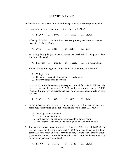#### MULTIPLE CHOICE

(Choose the correct answer from the following, circling the corresponding letter)

1. The maximum homestead property tax refund for 2021 is?

A. \$1,300 B. \$2,000 C. \$1,200 D. \$1,500

 2. After April 18, 2021, which is the oldest year property tax return a taxpayer may still file for a refund?

A. 2015 A. 2015 B. 2018 C. 2017 D. 2016

- 3. How long during the year must a taxpayer be a resident of Michigan to claim a homestead credit?
	- A. Full year B. 6 months C. 6 weeks D. No requirement
- 4. Which of the following may not be claimed on the Form MI-1040CR?
	- A. Village taxes
	- B. Collection fees up to 1 percent of property taxes
	- C. Property taxes from prior years
- 5. How much is the homestead property tax refund for a Senior Citizen who has total household resources of \$12,500 and pays annual rent of \$5,400? (Assume the property is taxable and the rent does not include meals or other services).
	- A. \$385 B. \$842 C. \$867 D. \$400
- 6. A single taxpayer who lives in a nursing home and still owns a vacant family home may claim which of the following on his or her Form MI-1040CR?
	- A. Nursing home taxes only
	- B. Family home taxes only
	- C. Both the taxes on the nursing home and the family home
	- D. The larger of the taxes on the nursing home or the family home
- 7. If a taxpayer moves into a new home on August 1, 2021, and is billed \$500 for summer taxes on the home sold and \$1,000 in winter taxes on the home purchased, how much of the property taxes may the taxpayer claim for credit? (Assume the winter taxes on the home sold were \$1,500 and the summer taxes on the home purchased were \$400.)

#### A. \$1,700 B. \$1,652 C. \$1,748 D. \$1,500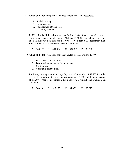- 8. Which of the following is not included in total household resources?
	- A. Social Security
	- B. Unemployment
	- C. Food stamps (Bridge card)
	- D. Disability income
- 9. In 2021, Linda Little, who was born before 1946, filed a federal return as a single individual. Included in her AGI was \$39,000 received from the State of Michigan retirement plan and \$15,000 received from a GM retirement plan. What is Linda's total allowable pension subtraction?

A. \$45,120 B. \$54,404 C. \$54,000 D. 38,000

- 10. Which of the following may not be subtracted on the Form MI-1040?
	- A. U.S. Treasury Bond interest
	- B. Business income earned in another state
	- C. Military pay
	- D. Charitable contributions
- 11. Jim Dandy, a single individual age 76, received a pension of \$8,500 from the city of Gladwin during the year, interest income of \$2,850, and dividend income of \$1,200. What is his Senior Citizen Interest, Dividend, and Capital Gain deduction?
	- A. \$4,450 A. \$4,450 B. \$12,127 C. \$4,050 D. \$3,627